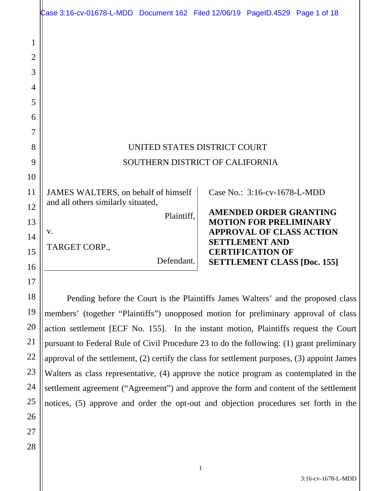|                | Case 3:16-cv-01678-L-MDD Document 162 Filed 12/06/19 PageID.4529 Page 1 of 18             |            |  |                                                          |  |  |
|----------------|-------------------------------------------------------------------------------------------|------------|--|----------------------------------------------------------|--|--|
|                |                                                                                           |            |  |                                                          |  |  |
| 1              |                                                                                           |            |  |                                                          |  |  |
| $\overline{2}$ |                                                                                           |            |  |                                                          |  |  |
| 3              |                                                                                           |            |  |                                                          |  |  |
| $\overline{4}$ |                                                                                           |            |  |                                                          |  |  |
| 5              |                                                                                           |            |  |                                                          |  |  |
| 6              |                                                                                           |            |  |                                                          |  |  |
| 7              |                                                                                           |            |  |                                                          |  |  |
| 8              | UNITED STATES DISTRICT COURT                                                              |            |  |                                                          |  |  |
| 9              | SOUTHERN DISTRICT OF CALIFORNIA                                                           |            |  |                                                          |  |  |
| 10             |                                                                                           |            |  |                                                          |  |  |
| 11             | JAMES WALTERS, on behalf of himself                                                       |            |  | Case No.: 3:16-cv-1678-L-MDD                             |  |  |
| 12             | and all others similarly situated,                                                        |            |  | <b>AMENDED ORDER GRANTING</b>                            |  |  |
| 13             |                                                                                           | Plaintiff, |  | <b>MOTION FOR PRELIMINARY</b>                            |  |  |
| 14             | V.                                                                                        |            |  | <b>APPROVAL OF CLASS ACTION</b><br><b>SETTLEMENT AND</b> |  |  |
| 15             | TARGET CORP.,                                                                             |            |  | <b>CERTIFICATION OF</b>                                  |  |  |
| 16             |                                                                                           | Defendant. |  | <b>SETTLEMENT CLASS [Doc. 155]</b>                       |  |  |
| 17             |                                                                                           |            |  |                                                          |  |  |
| 18             | Pending before the Court is the Plaintiffs James Walters' and the proposed class          |            |  |                                                          |  |  |
| 19             | members' (together "Plaintiffs") unopposed motion for preliminary approval of class       |            |  |                                                          |  |  |
| 20             | action settlement [ECF No. 155]. In the instant motion, Plaintiffs request the Court      |            |  |                                                          |  |  |
| 21             | pursuant to Federal Rule of Civil Procedure 23 to do the following: (1) grant preliminary |            |  |                                                          |  |  |

approval of the settlement, (2) certify the class for settlement purposes, (3) appoint James

Walters as class representative, (4) approve the notice program as contemplated in the

settlement agreement ("Agreement") and approve the form and content of the settlement

notices, (5) approve and order the opt-out and objection procedures set forth in the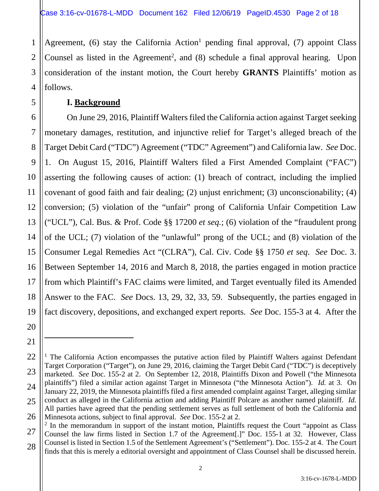2 3 4 Agreement,  $(6)$  stay the California Action<sup>1</sup> pending final approval,  $(7)$  appoint Class Counsel as listed in the Agreement<sup>2</sup>, and  $(8)$  schedule a final approval hearing. Upon consideration of the instant motion, the Court hereby **GRANTS** Plaintiffs' motion as follows.

#### **I. Background**

1

5

20

21

6 7 8 9 10 11 12 13 14 15 16 17 18 19 On June 29, 2016, Plaintiff Walters filed the California action against Target seeking monetary damages, restitution, and injunctive relief for Target's alleged breach of the Target Debit Card ("TDC") Agreement ("TDC" Agreement") and California law. *See* Doc. 1. On August 15, 2016, Plaintiff Walters filed a First Amended Complaint ("FAC") asserting the following causes of action: (1) breach of contract, including the implied covenant of good faith and fair dealing; (2) unjust enrichment; (3) unconscionability; (4) conversion; (5) violation of the "unfair" prong of California Unfair Competition Law ("UCL"), Cal. Bus. & Prof. Code §§ 17200 *et seq.*; (6) violation of the "fraudulent prong of the UCL; (7) violation of the "unlawful" prong of the UCL; and (8) violation of the Consumer Legal Remedies Act "(CLRA"), Cal. Civ. Code §§ 1750 *et seq*. *See* Doc. 3. Between September 14, 2016 and March 8, 2018, the parties engaged in motion practice from which Plaintiff's FAC claims were limited, and Target eventually filed its Amended Answer to the FAC. *See* Docs. 13, 29, 32, 33, 59. Subsequently, the parties engaged in fact discovery, depositions, and exchanged expert reports. *See* Doc. 155-3 at 4. After the

<sup>22</sup> 23 24 25 26 <sup>1</sup> The California Action encompasses the putative action filed by Plaintiff Walters against Defendant Target Corporation ("Target"), on June 29, 2016, claiming the Target Debit Card ("TDC") is deceptively marketed. *See* Doc. 155-2 at 2. On September 12, 2018, Plaintiffs Dixon and Powell ("the Minnesota plaintiffs") filed a similar action against Target in Minnesota ("the Minnesota Action"). *Id.* at 3. On January 22, 2019, the Minnesota plaintiffs filed a first amended complaint against Target, alleging similar conduct as alleged in the California action and adding Plaintiff Polcare as another named plaintiff. *Id.* All parties have agreed that the pending settlement serves as full settlement of both the California and Minnesota actions, subject to final approval. *See* Doc. 155-2 at 2.

<sup>27</sup> 28  $2$  In the memorandum in support of the instant motion, Plaintiffs request the Court "appoint as Class" Counsel the law firms listed in Section 1.7 of the Agreement[.]" Doc. 155-1 at 32. However, Class Counsel is listed in Section 1.5 of the Settlement Agreement's ("Settlement"). Doc. 155-2 at 4. The Court finds that this is merely a editorial oversight and appointment of Class Counsel shall be discussed herein.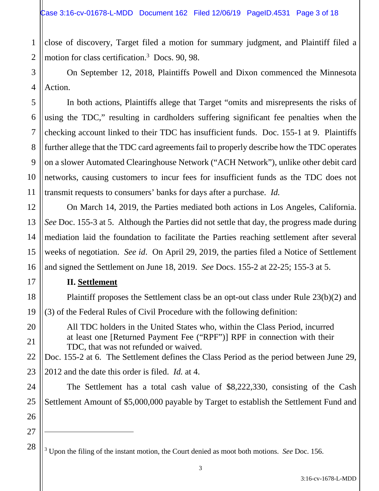1 2 close of discovery, Target filed a motion for summary judgment, and Plaintiff filed a motion for class certification.<sup>3</sup> Docs. 90, 98.

3 4 On September 12, 2018, Plaintiffs Powell and Dixon commenced the Minnesota Action.

6 9 10 In both actions, Plaintiffs allege that Target "omits and misrepresents the risks of using the TDC," resulting in cardholders suffering significant fee penalties when the checking account linked to their TDC has insufficient funds. Doc. 155-1 at 9. Plaintiffs further allege that the TDC card agreements fail to properly describe how the TDC operates on a slower Automated Clearinghouse Network ("ACH Network"), unlike other debit card networks, causing customers to incur fees for insufficient funds as the TDC does not transmit requests to consumers' banks for days after a purchase. *Id.* 

 On March 14, 2019, the Parties mediated both actions in Los Angeles, California. *See* Doc. 155-3 at 5. Although the Parties did not settle that day, the progress made during mediation laid the foundation to facilitate the Parties reaching settlement after several weeks of negotiation. *See id*. On April 29, 2019, the parties filed a Notice of Settlement and signed the Settlement on June 18, 2019. *See* Docs. 155-2 at 22-25; 155-3 at 5.

## **II. Settlement**

 Plaintiff proposes the Settlement class be an opt-out class under Rule 23(b)(2) and (3) of the Federal Rules of Civil Procedure with the following definition:

All TDC holders in the United States who, within the Class Period, incurred at least one [Returned Payment Fee ("RPF")] RPF in connection with their TDC, that was not refunded or waived.

22 23 Doc. 155-2 at 6. The Settlement defines the Class Period as the period between June 29, 2012 and the date this order is filed. *Id.* at 4.

 The Settlement has a total cash value of \$8,222,330, consisting of the Cash Settlement Amount of \$5,000,000 payable by Target to establish the Settlement Fund and

26 27 28

5

7

8

11

12

13

14

15

16

17

18

19

20

21

24

<sup>3</sup> Upon the filing of the instant motion, the Court denied as moot both motions. *See* Doc. 156.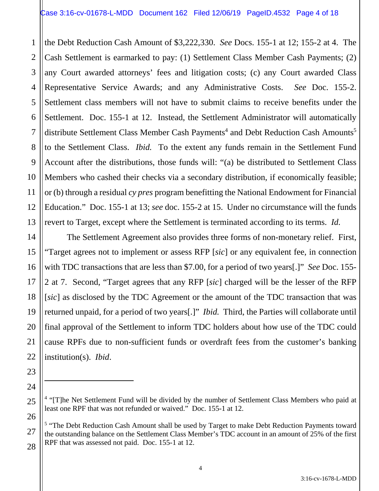1

2

5

7

11

14

15

16

17

18

19

20

21

22

23

24

25

26

27

3 4 6 8 9 10 12 13 the Debt Reduction Cash Amount of \$3,222,330. *See* Docs. 155-1 at 12; 155-2 at 4. The Cash Settlement is earmarked to pay: (1) Settlement Class Member Cash Payments; (2) any Court awarded attorneys' fees and litigation costs; (c) any Court awarded Class Representative Service Awards; and any Administrative Costs. *See* Doc. 155-2. Settlement class members will not have to submit claims to receive benefits under the Settlement. Doc. 155-1 at 12. Instead, the Settlement Administrator will automatically distribute Settlement Class Member Cash Payments<sup>4</sup> and Debt Reduction Cash Amounts<sup>5</sup> to the Settlement Class. *Ibid.* To the extent any funds remain in the Settlement Fund Account after the distributions, those funds will: "(a) be distributed to Settlement Class Members who cashed their checks via a secondary distribution, if economically feasible; or (b) through a residual *cy pres* program benefitting the National Endowment for Financial Education." Doc. 155-1 at 13; *see* doc. 155-2 at 15. Under no circumstance will the funds revert to Target, except where the Settlement is terminated according to its terms. *Id.*

 The Settlement Agreement also provides three forms of non-monetary relief. First, "Target agrees not to implement or assess RFP [*sic*] or any equivalent fee, in connection with TDC transactions that are less than \$7.00, for a period of two years[.]" *See* Doc. 155- 2 at 7. Second, "Target agrees that any RFP [*sic*] charged will be the lesser of the RFP [*sic*] as disclosed by the TDC Agreement or the amount of the TDC transaction that was returned unpaid, for a period of two years[.]" *Ibid.* Third, the Parties will collaborate until final approval of the Settlement to inform TDC holders about how use of the TDC could cause RPFs due to non-sufficient funds or overdraft fees from the customer's banking institution(s). *Ibid*.

<sup>&</sup>lt;sup>4</sup> "[T]he Net Settlement Fund will be divided by the number of Settlement Class Members who paid at least one RPF that was not refunded or waived." Doc. 155-1 at 12.

<sup>28</sup> <sup>5</sup> "The Debt Reduction Cash Amount shall be used by Target to make Debt Reduction Payments toward the outstanding balance on the Settlement Class Member's TDC account in an amount of 25% of the first RPF that was assessed not paid. Doc. 155-1 at 12.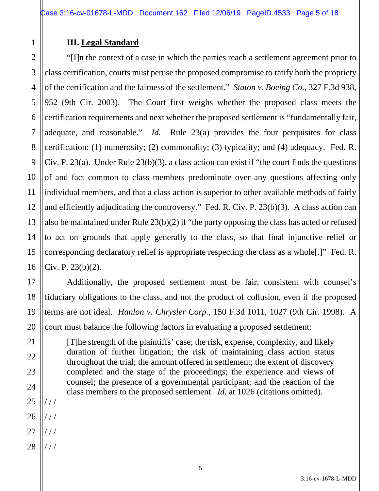## **III. Legal Standard**

1

2 3 4 5 6 7 8 9 10 11 12 13 14 15 16 "[I]n the context of a case in which the parties reach a settlement agreement prior to class certification, courts must peruse the proposed compromise to ratify both the propriety of the certification and the fairness of the settlement." *Staton v. Boeing Co.*, 327 F.3d 938, 952 (9th Cir. 2003). The Court first weighs whether the proposed class meets the certification requirements and next whether the proposed settlement is "fundamentally fair, adequate, and reasonable." *Id.* Rule 23(a) provides the four perquisites for class certification: (1) numerosity; (2) commonality; (3) typicality; and (4) adequacy. Fed. R. Civ. P. 23(a). Under Rule 23(b)(3), a class action can exist if "the court finds the questions of and fact common to class members predominate over any questions affecting only individual members, and that a class action is superior to other available methods of fairly and efficiently adjudicating the controversy." Fed. R. Civ. P. 23(b)(3). A class action can also be maintained under Rule 23(b)(2) if "the party opposing the class has acted or refused to act on grounds that apply generally to the class, so that final injunctive relief or corresponding declaratory relief is appropriate respecting the class as a whole[.]" Fed. R. Civ. P. 23(b)(2).

 Additionally, the proposed settlement must be fair, consistent with counsel's fiduciary obligations to the class, and not the product of collusion, even if the proposed terms are not ideal. *Hanlon v. Chrysler Corp.*, 150 F.3d 1011, 1027 (9th Cir. 1998). A court must balance the following factors in evaluating a proposed settlement:

[T]he strength of the plaintiffs' case; the risk, expense, complexity, and likely duration of further litigation; the risk of maintaining class action status throughout the trial; the amount offered in settlement; the extent of discovery completed and the stage of the proceedings; the experience and views of counsel; the presence of a governmental participant; and the reaction of the class members to the proposed settlement. *Id.* at 1026 (citations omitted).

25 / / /

/ / /

26

17

18

19

20

21

22

23

- 27 / / /
- 28  $///$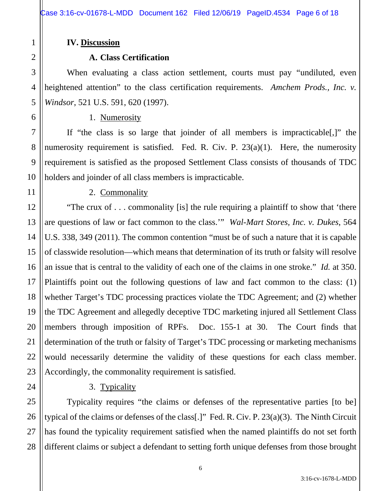#### **IV. Discussion**

## **A. Class Certification**

When evaluating a class action settlement, courts must pay "undiluted, even heightened attention" to the class certification requirements. *Amchem Prods., Inc. v. Windsor*, 521 U.S. 591, 620 (1997).

#### 1. Numerosity

If "the class is so large that joinder of all members is impracticable[,]" the numerosity requirement is satisfied. Fed. R. Civ. P.  $23(a)(1)$ . Here, the numerosity requirement is satisfied as the proposed Settlement Class consists of thousands of TDC holders and joinder of all class members is impracticable.

1

2

3

# 2. Commonality

"The crux of . . . commonality [is] the rule requiring a plaintiff to show that 'there are questions of law or fact common to the class.'" *Wal-Mart Stores, Inc. v. Dukes*, 564 U.S. 338, 349 (2011). The common contention "must be of such a nature that it is capable of classwide resolution—which means that determination of its truth or falsity will resolve an issue that is central to the validity of each one of the claims in one stroke." *Id.* at 350. Plaintiffs point out the following questions of law and fact common to the class: (1) whether Target's TDC processing practices violate the TDC Agreement; and (2) whether the TDC Agreement and allegedly deceptive TDC marketing injured all Settlement Class members through imposition of RPFs. Doc. 155-1 at 30. The Court finds that determination of the truth or falsity of Target's TDC processing or marketing mechanisms would necessarily determine the validity of these questions for each class member. Accordingly, the commonality requirement is satisfied.

3. Typicality

Typicality requires "the claims or defenses of the representative parties [to be] typical of the claims or defenses of the class[.]" Fed. R. Civ. P. 23(a)(3). The Ninth Circuit has found the typicality requirement satisfied when the named plaintiffs do not set forth different claims or subject a defendant to setting forth unique defenses from those brought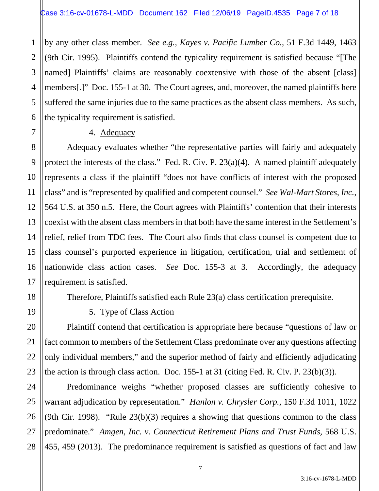2 3 4 5 6 by any other class member. *See e.g., Kayes v. Pacific Lumber Co.*, 51 F.3d 1449, 1463 (9th Cir. 1995). Plaintiffs contend the typicality requirement is satisfied because "[The named] Plaintiffs' claims are reasonably coextensive with those of the absent [class] members[.]" Doc. 155-1 at 30. The Court agrees, and, moreover, the named plaintiffs here suffered the same injuries due to the same practices as the absent class members. As such, the typicality requirement is satisfied.

#### 4. Adequacy

Adequacy evaluates whether "the representative parties will fairly and adequately protect the interests of the class." Fed. R. Civ. P. 23(a)(4). A named plaintiff adequately represents a class if the plaintiff "does not have conflicts of interest with the proposed class" and is "represented by qualified and competent counsel." *See Wal-Mart Stores, Inc.*, 564 U.S. at 350 n.5. Here, the Court agrees with Plaintiffs' contention that their interests coexist with the absent class members in that both have the same interest in the Settlement's relief, relief from TDC fees. The Court also finds that class counsel is competent due to class counsel's purported experience in litigation, certification, trial and settlement of nationwide class action cases. *See* Doc. 155-3 at 3. Accordingly, the adequacy requirement is satisfied.

Therefore, Plaintiffs satisfied each Rule 23(a) class certification prerequisite.

1

7

8

9

10

11

12

13

14

15

16

17

18

19

20

21

22

23

## 5. Type of Class Action

Plaintiff contend that certification is appropriate here because "questions of law or fact common to members of the Settlement Class predominate over any questions affecting only individual members," and the superior method of fairly and efficiently adjudicating the action is through class action. Doc. 155-1 at 31 (citing Fed. R. Civ. P. 23(b)(3)).

24 25 26 27 28 Predominance weighs "whether proposed classes are sufficiently cohesive to warrant adjudication by representation." *Hanlon v. Chrysler Corp.*, 150 F.3d 1011, 1022 (9th Cir. 1998). "Rule  $23(b)(3)$  requires a showing that questions common to the class predominate." *Amgen, Inc. v. Connecticut Retirement Plans and Trust Funds*, 568 U.S. 455, 459 (2013). The predominance requirement is satisfied as questions of fact and law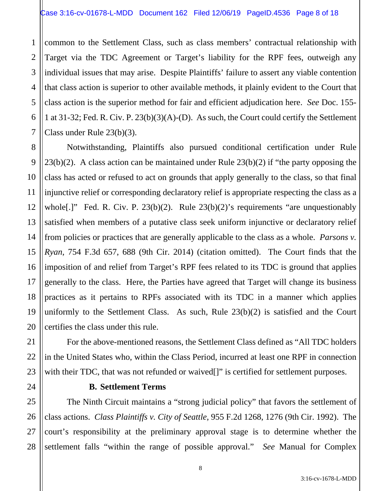1 2 3 4 5 6 7 common to the Settlement Class, such as class members' contractual relationship with Target via the TDC Agreement or Target's liability for the RPF fees, outweigh any individual issues that may arise. Despite Plaintiffs' failure to assert any viable contention that class action is superior to other available methods, it plainly evident to the Court that class action is the superior method for fair and efficient adjudication here. *See* Doc. 155- 1 at 31-32; Fed. R. Civ. P. 23(b)(3)(A)-(D). As such, the Court could certify the Settlement Class under Rule 23(b)(3).

8 9 10 11 12 13 14 15 16 17 18 19 20 Notwithstanding, Plaintiffs also pursued conditional certification under Rule  $23(b)(2)$ . A class action can be maintained under Rule  $23(b)(2)$  if "the party opposing the class has acted or refused to act on grounds that apply generally to the class, so that final injunctive relief or corresponding declaratory relief is appropriate respecting the class as a whole[.]" Fed. R. Civ. P. 23(b)(2). Rule 23(b)(2)'s requirements "are unquestionably satisfied when members of a putative class seek uniform injunctive or declaratory relief from policies or practices that are generally applicable to the class as a whole. *Parsons v. Ryan*, 754 F.3d 657, 688 (9th Cir. 2014) (citation omitted). The Court finds that the imposition of and relief from Target's RPF fees related to its TDC is ground that applies generally to the class. Here, the Parties have agreed that Target will change its business practices as it pertains to RPFs associated with its TDC in a manner which applies uniformly to the Settlement Class. As such, Rule 23(b)(2) is satisfied and the Court certifies the class under this rule.

For the above-mentioned reasons, the Settlement Class defined as "All TDC holders in the United States who, within the Class Period, incurred at least one RPF in connection with their TDC, that was not refunded or waived<sup>[]"</sup> is certified for settlement purposes.

24

21

22

23

## **B. Settlement Terms**

25 26 27 28 The Ninth Circuit maintains a "strong judicial policy" that favors the settlement of class actions. *Class Plaintiffs v. City of Seattle*, 955 F.2d 1268, 1276 (9th Cir. 1992). The court's responsibility at the preliminary approval stage is to determine whether the settlement falls "within the range of possible approval." *See* Manual for Complex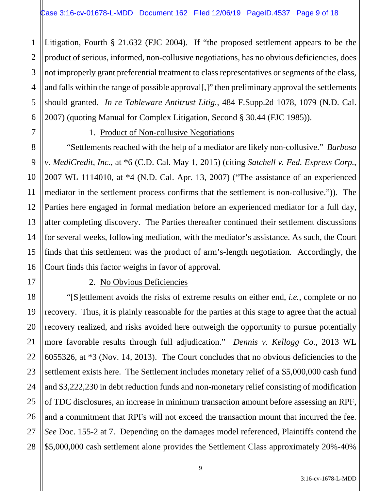1 2 3 4 5 6 Litigation, Fourth § 21.632 (FJC 2004). If "the proposed settlement appears to be the product of serious, informed, non-collusive negotiations, has no obvious deficiencies, does not improperly grant preferential treatment to class representatives or segments of the class, and falls within the range of possible approval[,]" then preliminary approval the settlements should granted. *In re Tableware Antitrust Litig.*, 484 F.Supp.2d 1078, 1079 (N.D. Cal. 2007) (quoting Manual for Complex Litigation, Second § 30.44 (FJC 1985)).

7

8

9

10

11

12

13

14

15

16

17

18

19

20

21

22

23

24

25

26

27

28

## 1. Product of Non-collusive Negotiations

"Settlements reached with the help of a mediator are likely non-collusive." *Barbosa v. MediCredit, Inc.*, at \*6 (C.D. Cal. May 1, 2015) (citing *Satchell v. Fed. Express Corp.*, 2007 WL 1114010, at \*4 (N.D. Cal. Apr. 13, 2007) ("The assistance of an experienced mediator in the settlement process confirms that the settlement is non-collusive.")). The Parties here engaged in formal mediation before an experienced mediator for a full day, after completing discovery. The Parties thereafter continued their settlement discussions for several weeks, following mediation, with the mediator's assistance. As such, the Court finds that this settlement was the product of arm's-length negotiation. Accordingly, the Court finds this factor weighs in favor of approval.

## 2. No Obvious Deficiencies

"[S]ettlement avoids the risks of extreme results on either end, *i.e.*, complete or no recovery. Thus, it is plainly reasonable for the parties at this stage to agree that the actual recovery realized, and risks avoided here outweigh the opportunity to pursue potentially more favorable results through full adjudication." *Dennis v. Kellogg Co.*, 2013 WL 6055326, at \*3 (Nov. 14, 2013). The Court concludes that no obvious deficiencies to the settlement exists here. The Settlement includes monetary relief of a \$5,000,000 cash fund and \$3,222,230 in debt reduction funds and non-monetary relief consisting of modification of TDC disclosures, an increase in minimum transaction amount before assessing an RPF, and a commitment that RPFs will not exceed the transaction mount that incurred the fee. *See* Doc. 155-2 at 7. Depending on the damages model referenced, Plaintiffs contend the \$5,000,000 cash settlement alone provides the Settlement Class approximately 20%-40%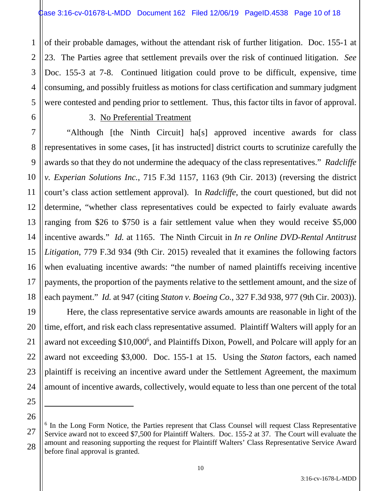of their probable damages, without the attendant risk of further litigation. Doc. 155-1 at 23. The Parties agree that settlement prevails over the risk of continued litigation. *See* Doc. 155-3 at 7-8. Continued litigation could prove to be difficult, expensive, time consuming, and possibly fruitless as motions for class certification and summary judgment were contested and pending prior to settlement. Thus, this factor tilts in favor of approval.

1

2

3

4

5

6

7

8

9

11

12

13

14

15

17

18

19

20

21

22

#### 3. No Preferential Treatment

10 16 "Although [the Ninth Circuit] ha[s] approved incentive awards for class representatives in some cases, [it has instructed] district courts to scrutinize carefully the awards so that they do not undermine the adequacy of the class representatives." *Radcliffe v. Experian Solutions Inc.*, 715 F.3d 1157, 1163 (9th Cir. 2013) (reversing the district court's class action settlement approval). In *Radcliffe*, the court questioned, but did not determine, "whether class representatives could be expected to fairly evaluate awards ranging from \$26 to \$750 is a fair settlement value when they would receive \$5,000 incentive awards." *Id.* at 1165. The Ninth Circuit in *In re Online DVD-Rental Antitrust Litigation*, 779 F.3d 934 (9th Cir. 2015) revealed that it examines the following factors when evaluating incentive awards: "the number of named plaintiffs receiving incentive payments, the proportion of the payments relative to the settlement amount, and the size of each payment." *Id.* at 947 (citing *Staton v. Boeing Co.*, 327 F.3d 938, 977 (9th Cir. 2003)).

Here, the class representative service awards amounts are reasonable in light of the time, effort, and risk each class representative assumed. Plaintiff Walters will apply for an award not exceeding \$10,000<sup>6</sup>, and Plaintiffs Dixon, Powell, and Polcare will apply for an award not exceeding \$3,000. Doc. 155-1 at 15. Using the *Staton* factors, each named plaintiff is receiving an incentive award under the Settlement Agreement, the maximum amount of incentive awards, collectively, would equate to less than one percent of the total

<sup>28</sup> <sup>6</sup> In the Long Form Notice, the Parties represent that Class Counsel will request Class Representative Service award not to exceed \$7,500 for Plaintiff Walters. Doc. 155-2 at 37. The Court will evaluate the amount and reasoning supporting the request for Plaintiff Walters' Class Representative Service Award before final approval is granted.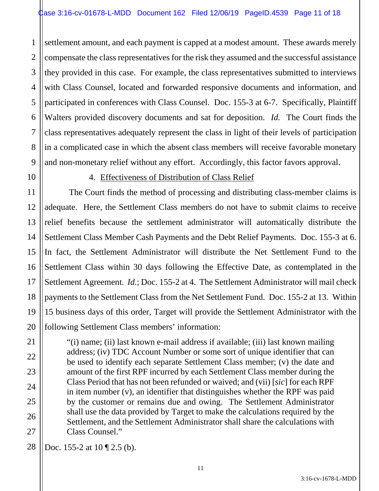1 2 3 4 5 6 7 8 9 settlement amount, and each payment is capped at a modest amount. These awards merely compensate the class representatives for the risk they assumed and the successful assistance they provided in this case. For example, the class representatives submitted to interviews with Class Counsel, located and forwarded responsive documents and information, and participated in conferences with Class Counsel. Doc. 155-3 at 6-7. Specifically, Plaintiff Walters provided discovery documents and sat for deposition. *Id.* The Court finds the class representatives adequately represent the class in light of their levels of participation in a complicated case in which the absent class members will receive favorable monetary and non-monetary relief without any effort. Accordingly, this factor favors approval.

10

11

17

21

22

23

24

25

26

27

#### 4. Effectiveness of Distribution of Class Relief

12 13 14 15 16 18 19 20 The Court finds the method of processing and distributing class-member claims is adequate. Here, the Settlement Class members do not have to submit claims to receive relief benefits because the settlement administrator will automatically distribute the Settlement Class Member Cash Payments and the Debt Relief Payments. Doc. 155-3 at 6. In fact, the Settlement Administrator will distribute the Net Settlement Fund to the Settlement Class within 30 days following the Effective Date, as contemplated in the Settlement Agreement. *Id.*; Doc. 155-2 at 4. The Settlement Administrator will mail check payments to the Settlement Class from the Net Settlement Fund. Doc. 155-2 at 13. Within 15 business days of this order, Target will provide the Settlement Administrator with the following Settlement Class members' information:

"(i) name; (ii) last known e-mail address if available; (iii) last known mailing address; (iv) TDC Account Number or some sort of unique identifier that can be used to identify each separate Settlement Class member; (v) the date and amount of the first RPF incurred by each Settlement Class member during the Class Period that has not been refunded or waived; and (vii) [*sic*] for each RPF in item number (v), an identifier that distinguishes whether the RPF was paid by the customer or remains due and owing. The Settlement Administrator shall use the data provided by Target to make the calculations required by the Settlement, and the Settlement Administrator shall share the calculations with Class Counsel."

28 Doc. 155-2 at 10 ¶ 2.5 (b).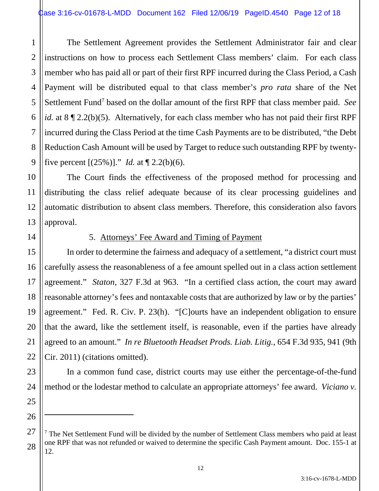1 2 3 4 5 6 7 8 9 The Settlement Agreement provides the Settlement Administrator fair and clear instructions on how to process each Settlement Class members' claim. For each class member who has paid all or part of their first RPF incurred during the Class Period, a Cash Payment will be distributed equal to that class member's *pro rata* share of the Net Settlement Fund<sup>7</sup> based on the dollar amount of the first RPF that class member paid. See *id.* at 8 ¶ 2.2(b)(5). Alternatively, for each class member who has not paid their first RPF incurred during the Class Period at the time Cash Payments are to be distributed, "the Debt Reduction Cash Amount will be used by Target to reduce such outstanding RPF by twentyfive percent  $[(25\%)]$ ." *Id.* at  $\P$  2.2(b)(6).

10 11 12 13 The Court finds the effectiveness of the proposed method for processing and distributing the class relief adequate because of its clear processing guidelines and automatic distribution to absent class members. Therefore, this consideration also favors approval.

14

15

16

17

18

19

20

21

22

23

24

25

26

27

28

## 5. Attorneys' Fee Award and Timing of Payment

In order to determine the fairness and adequacy of a settlement, "a district court must carefully assess the reasonableness of a fee amount spelled out in a class action settlement agreement." *Staton*, 327 F.3d at 963."In a certified class action, the court may award reasonable attorney's fees and nontaxable costs that are authorized by law or by the parties' agreement." Fed. R. Civ. P. 23(h). "[C]ourts have an independent obligation to ensure that the award, like the settlement itself, is reasonable, even if the parties have already agreed to an amount." *In re Bluetooth Headset Prods. Liab. Litig.*, 654 F.3d 935, 941 (9th Cir. 2011) (citations omitted).

In a common fund case, district courts may use either the percentage-of-the-fund method or the lodestar method to calculate an appropriate attorneys' fee award. *Viciano v.* 

 $7$  The Net Settlement Fund will be divided by the number of Settlement Class members who paid at least one RPF that was not refunded or waived to determine the specific Cash Payment amount. Doc. 155-1 at 12.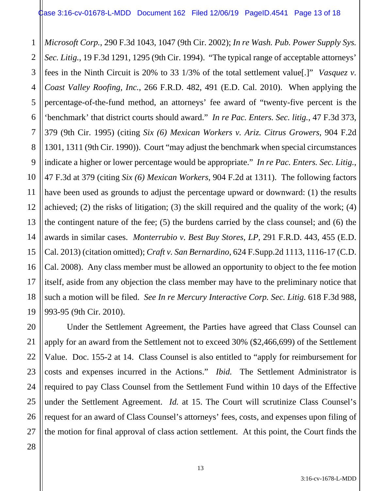1 2 3 4 5 6 7 8 9 10 11 12 13 14 15 16 17 18 19 *Microsoft Corp.*, 290 F.3d 1043, 1047 (9th Cir. 2002); *In re Wash. Pub. Power Supply Sys. Sec. Litig.*, 19 F.3d 1291, 1295 (9th Cir. 1994). "The typical range of acceptable attorneys' fees in the Ninth Circuit is 20% to 33 1/3% of the total settlement value[.]" *Vasquez v. Coast Valley Roofing, Inc.*, 266 F.R.D. 482, 491 (E.D. Cal. 2010). When applying the percentage-of-the-fund method, an attorneys' fee award of "twenty-five percent is the 'benchmark' that district courts should award." *In re Pac. Enters. Sec. litig.*, 47 F.3d 373, 379 (9th Cir. 1995) (citing *Six (6) Mexican Workers v. Ariz. Citrus Growers*, 904 F.2d 1301, 1311 (9th Cir. 1990)). Court "may adjust the benchmark when special circumstances indicate a higher or lower percentage would be appropriate." *In re Pac. Enters. Sec. Litig.*, 47 F.3d at 379 (citing *Six (6) Mexican Workers*, 904 F.2d at 1311). The following factors have been used as grounds to adjust the percentage upward or downward: (1) the results achieved; (2) the risks of litigation; (3) the skill required and the quality of the work; (4) the contingent nature of the fee; (5) the burdens carried by the class counsel; and (6) the awards in similar cases. *Monterrubio v. Best Buy Stores, LP*, 291 F.R.D. 443, 455 (E.D. Cal. 2013) (citation omitted); *Craft v. San Bernardino*, 624 F.Supp.2d 1113, 1116-17 (C.D. Cal. 2008). Any class member must be allowed an opportunity to object to the fee motion itself, aside from any objection the class member may have to the preliminary notice that such a motion will be filed. *See In re Mercury Interactive Corp. Sec. Litig.* 618 F.3d 988, 993-95 (9th Cir. 2010).

20 21 22 23 24 25 26 Under the Settlement Agreement, the Parties have agreed that Class Counsel can apply for an award from the Settlement not to exceed 30% (\$2,466,699) of the Settlement Value. Doc. 155-2 at 14. Class Counsel is also entitled to "apply for reimbursement for costs and expenses incurred in the Actions." *Ibid.* The Settlement Administrator is required to pay Class Counsel from the Settlement Fund within 10 days of the Effective under the Settlement Agreement. *Id.* at 15. The Court will scrutinize Class Counsel's request for an award of Class Counsel's attorneys' fees, costs, and expenses upon filing of the motion for final approval of class action settlement. At this point, the Court finds the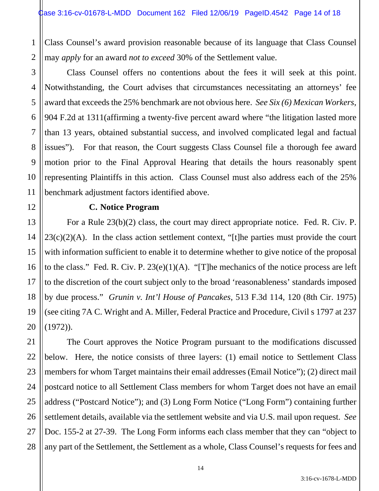1 2 Class Counsel's award provision reasonable because of its language that Class Counsel may *apply* for an award *not to exceed* 30% of the Settlement value.

3 4 Class Counsel offers no contentions about the fees it will seek at this point. Notwithstanding, the Court advises that circumstances necessitating an attorneys' fee award that exceeds the 25% benchmark are not obvious here. *See Six (6) Mexican Workers*, 904 F.2d at 1311(affirming a twenty-five percent award where "the litigation lasted more than 13 years, obtained substantial success, and involved complicated legal and factual issues"). For that reason, the Court suggests Class Counsel file a thorough fee award motion prior to the Final Approval Hearing that details the hours reasonably spent representing Plaintiffs in this action. Class Counsel must also address each of the 25% benchmark adjustment factors identified above.

#### **C. Notice Program**

For a Rule 23(b)(2) class, the court may direct appropriate notice. Fed. R. Civ. P.  $23(c)(2)(A)$ . In the class action settlement context, "[t]he parties must provide the court with information sufficient to enable it to determine whether to give notice of the proposal to the class." Fed. R. Civ. P. 23(e)(1)(A). "[T]he mechanics of the notice process are left to the discretion of the court subject only to the broad 'reasonableness' standards imposed by due process." *Grunin v. Int'l House of Pancakes*, 513 F.3d 114, 120 (8th Cir. 1975) (see citing 7A C. Wright and A. Miller, Federal Practice and Procedure, Civil s 1797 at 237  $(1972)$ .

The Court approves the Notice Program pursuant to the modifications discussed below. Here, the notice consists of three layers: (1) email notice to Settlement Class members for whom Target maintains their email addresses (Email Notice"); (2) direct mail postcard notice to all Settlement Class members for whom Target does not have an email address ("Postcard Notice"); and (3) Long Form Notice ("Long Form") containing further settlement details, available via the settlement website and via U.S. mail upon request. *See* Doc. 155-2 at 27-39. The Long Form informs each class member that they can "object to any part of the Settlement, the Settlement as a whole, Class Counsel's requests for fees and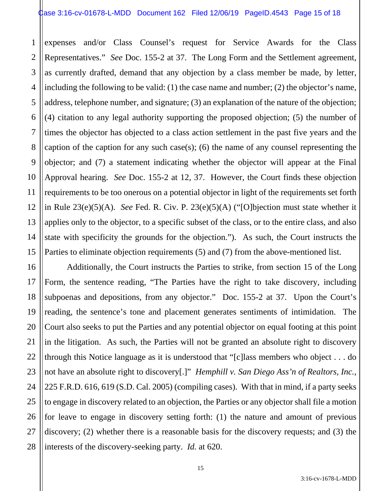1 2 3 4 5 6 7 8 9 10 11 12 13 14 15 expenses and/or Class Counsel's request for Service Awards for the Class Representatives." *See* Doc. 155-2 at 37. The Long Form and the Settlement agreement, as currently drafted, demand that any objection by a class member be made, by letter, including the following to be valid: (1) the case name and number; (2) the objector's name, address, telephone number, and signature; (3) an explanation of the nature of the objection; (4) citation to any legal authority supporting the proposed objection; (5) the number of times the objector has objected to a class action settlement in the past five years and the caption of the caption for any such case(s); (6) the name of any counsel representing the objector; and (7) a statement indicating whether the objector will appear at the Final Approval hearing. *See* Doc. 155-2 at 12, 37. However, the Court finds these objection requirements to be too onerous on a potential objector in light of the requirements set forth in Rule 23(e)(5)(A). *See* Fed. R. Civ. P. 23(e)(5)(A) ("[O]bjection must state whether it applies only to the objector, to a specific subset of the class, or to the entire class, and also state with specificity the grounds for the objection."). As such, the Court instructs the Parties to eliminate objection requirements (5) and (7) from the above-mentioned list.

16 17 18 19 20 21 22 23 24 25 26 27 28 Additionally, the Court instructs the Parties to strike, from section 15 of the Long Form, the sentence reading, "The Parties have the right to take discovery, including subpoenas and depositions, from any objector." Doc. 155-2 at 37. Upon the Court's reading, the sentence's tone and placement generates sentiments of intimidation. The Court also seeks to put the Parties and any potential objector on equal footing at this point in the litigation. As such, the Parties will not be granted an absolute right to discovery through this Notice language as it is understood that "[c]lass members who object . . . do not have an absolute right to discovery[.]" *Hemphill v. San Diego Ass'n of Realtors, Inc.*, 225 F.R.D. 616, 619 (S.D. Cal. 2005) (compiling cases). With that in mind, if a party seeks to engage in discovery related to an objection, the Parties or any objector shall file a motion for leave to engage in discovery setting forth: (1) the nature and amount of previous discovery; (2) whether there is a reasonable basis for the discovery requests; and (3) the interests of the discovery-seeking party. *Id.* at 620.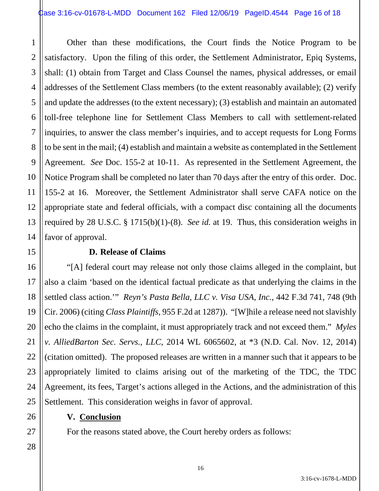1 2 3 4 5 6 7 8 9 10 11 12 13 14 Other than these modifications, the Court finds the Notice Program to be satisfactory. Upon the filing of this order, the Settlement Administrator, Epiq Systems, shall: (1) obtain from Target and Class Counsel the names, physical addresses, or email addresses of the Settlement Class members (to the extent reasonably available); (2) verify and update the addresses (to the extent necessary); (3) establish and maintain an automated toll-free telephone line for Settlement Class Members to call with settlement-related inquiries, to answer the class member's inquiries, and to accept requests for Long Forms to be sent in the mail; (4) establish and maintain a website as contemplated in the Settlement Agreement. *See* Doc. 155-2 at 10-11. As represented in the Settlement Agreement, the Notice Program shall be completed no later than 70 days after the entry of this order. Doc. 155-2 at 16. Moreover, the Settlement Administrator shall serve CAFA notice on the appropriate state and federal officials, with a compact disc containing all the documents required by 28 U.S.C. § 1715(b)(1)-(8). *See id.* at 19. Thus, this consideration weighs in favor of approval.

#### **D. Release of Claims**

"[A] federal court may release not only those claims alleged in the complaint, but also a claim 'based on the identical factual predicate as that underlying the claims in the settled class action.'" *Reyn's Pasta Bella, LLC v. Visa USA, Inc.*, 442 F.3d 741, 748 (9th Cir. 2006) (citing *Class Plaintiffs*, 955 F.2d at 1287)). "[W]hile a release need not slavishly echo the claims in the complaint, it must appropriately track and not exceed them." *Myles v. AlliedBarton Sec. Servs., LLC*, 2014 WL 6065602, at \*3 (N.D. Cal. Nov. 12, 2014) (citation omitted). The proposed releases are written in a manner such that it appears to be appropriately limited to claims arising out of the marketing of the TDC, the TDC Agreement, its fees, Target's actions alleged in the Actions, and the administration of this Settlement. This consideration weighs in favor of approval.

## **V. Conclusion**

For the reasons stated above, the Court hereby orders as follows:

15

16

17

18

19

20

21

22

23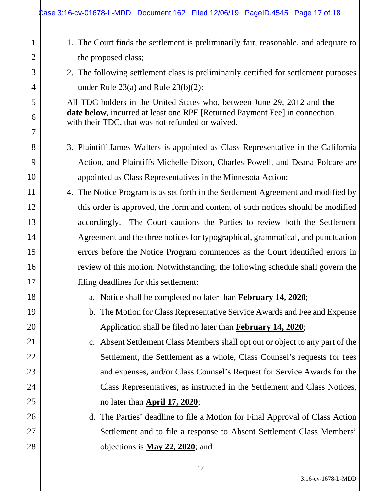1

2

3

4

5

6

7

8

9

10

11

12

13

14

15

16

17

18

19

20

21

22

23

24

25

26

27

28

- 1. The Court finds the settlement is preliminarily fair, reasonable, and adequate to the proposed class;
- 2. The following settlement class is preliminarily certified for settlement purposes under Rule 23(a) and Rule 23(b)(2):

All TDC holders in the United States who, between June 29, 2012 and **the date below**, incurred at least one RPF [Returned Payment Fee] in connection with their TDC, that was not refunded or waived.

- 3. Plaintiff James Walters is appointed as Class Representative in the California Action, and Plaintiffs Michelle Dixon, Charles Powell, and Deana Polcare are appointed as Class Representatives in the Minnesota Action;
- 4. The Notice Program is as set forth in the Settlement Agreement and modified by this order is approved, the form and content of such notices should be modified accordingly. The Court cautions the Parties to review both the Settlement Agreement and the three notices for typographical, grammatical, and punctuation errors before the Notice Program commences as the Court identified errors in review of this motion. Notwithstanding, the following schedule shall govern the filing deadlines for this settlement:
	- a. Notice shall be completed no later than **February 14, 2020**;
	- b. The Motion for Class Representative Service Awards and Fee and Expense Application shall be filed no later than **February 14, 2020**;
	- c. Absent Settlement Class Members shall opt out or object to any part of the Settlement, the Settlement as a whole, Class Counsel's requests for fees and expenses, and/or Class Counsel's Request for Service Awards for the Class Representatives, as instructed in the Settlement and Class Notices, no later than **April 17, 2020**;
	- d. The Parties' deadline to file a Motion for Final Approval of Class Action Settlement and to file a response to Absent Settlement Class Members' objections is **May 22, 2020**; and